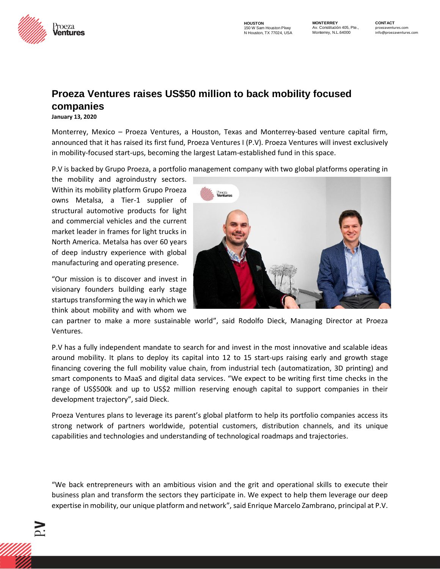

**HOUSTON**  150 W Sam Houston Pkwy N Houston, TX 77024, USA **MONTERREY**  Av. Constitución 405, Pte., Monterrey, N.L.64000

## **Proeza Ventures raises US\$50 million to back mobility focused companies**

**January 13, 2020**

Monterrey, Mexico – Proeza Ventures, a Houston, Texas and Monterrey-based venture capital firm, announced that it has raised its first fund, Proeza Ventures I (P.V). Proeza Ventures will invest exclusively in mobility-focused start-ups, becoming the largest Latam-established fund in this space.

P.V is backed by Grupo Proeza, a portfolio management company with two global platforms operating in

the mobility and agroindustry sectors. Within its mobility platform Grupo Proeza owns Metalsa, a Tier-1 supplier of structural automotive products for light and commercial vehicles and the current market leader in frames for light trucks in North America. Metalsa has over 60 years of deep industry experience with global manufacturing and operating presence.

"Our mission is to discover and invest in visionary founders building early stage startups transforming the way in which we think about mobility and with whom we



can partner to make a more sustainable world", said Rodolfo Dieck, Managing Director at Proeza Ventures.

P.V has a fully independent mandate to search for and invest in the most innovative and scalable ideas around mobility. It plans to deploy its capital into 12 to 15 start-ups raising early and growth stage financing covering the full mobility value chain, from industrial tech (automatization, 3D printing) and smart components to MaaS and digital data services. "We expect to be writing first time checks in the range of US\$500k and up to US\$2 million reserving enough capital to support companies in their development trajectory", said Dieck.

Proeza Ventures plans to leverage its parent's global platform to help its portfolio companies access its strong network of partners worldwide, potential customers, distribution channels, and its unique capabilities and technologies and understanding of technological roadmaps and trajectories.

"We back entrepreneurs with an ambitious vision and the grit and operational skills to execute their business plan and transform the sectors they participate in. We expect to help them leverage our deep expertise in mobility, our unique platform and network", said Enrique Marcelo Zambrano, principal at P.V.